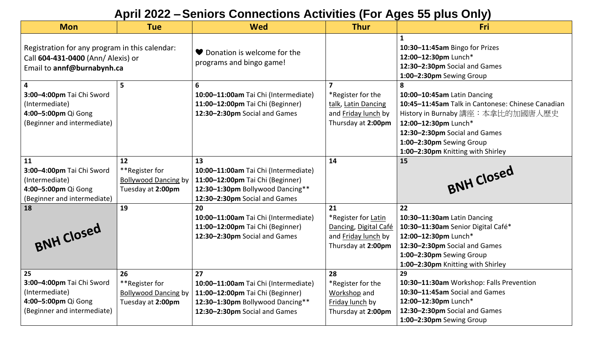#### $\overline{a}$ **April 2022 –Seniors Connections Activities (For Ages 55 plus Only)**

| <b>Mon</b>                                                                                                                   | <b>Tue</b>                                                               | <b>Wed</b>                                                                                                                                          | <b>Thur</b>                                                                                             | Fri                                                                                                                                                                                                                                                  |
|------------------------------------------------------------------------------------------------------------------------------|--------------------------------------------------------------------------|-----------------------------------------------------------------------------------------------------------------------------------------------------|---------------------------------------------------------------------------------------------------------|------------------------------------------------------------------------------------------------------------------------------------------------------------------------------------------------------------------------------------------------------|
| Registration for any program in this calendar:<br>Call 604-431-0400 (Ann/ Alexis) or<br>Email to annf@burnabynh.ca           |                                                                          | ♥ Donation is welcome for the<br>programs and bingo game!                                                                                           |                                                                                                         | 10:30-11:45am Bingo for Prizes<br>12:00-12:30pm Lunch*<br>12:30-2:30pm Social and Games<br>1:00-2:30pm Sewing Group                                                                                                                                  |
| $\overline{\mathbf{4}}$<br>3:00-4:00pm Tai Chi Sword<br>(Intermediate)<br>4:00-5:00pm Qi Gong<br>(Beginner and intermediate) | 5                                                                        | 6<br>10:00-11:00am Tai Chi (Intermediate)<br>11:00-12:00pm Tai Chi (Beginner)<br>12:30-2:30pm Social and Games                                      | $\overline{7}$<br>*Register for the<br>talk, Latin Dancing<br>and Friday lunch by<br>Thursday at 2:00pm | 8<br>10:00-10:45am Latin Dancing<br>10:45-11:45am Talk in Cantonese: Chinese Canadian<br>History in Burnaby 講座: 本拿比的加國唐人歷史<br>12:00-12:30pm Lunch*<br>12:30-2:30pm Social and Games<br>1:00-2:30pm Sewing Group<br>1:00-2:30pm Knitting with Shirley |
| 11<br>3:00-4:00pm Tai Chi Sword<br>(Intermediate)<br>4:00-5:00pm Qi Gong<br>(Beginner and intermediate)                      | 12<br>**Register for<br><b>Bollywood Dancing by</b><br>Tuesday at 2:00pm | 13<br>10:00-11:00am Tai Chi (Intermediate)<br>11:00-12:00pm Tai Chi (Beginner)<br>12:30-1:30pm Bollywood Dancing**<br>12:30-2:30pm Social and Games | 14                                                                                                      | 15<br>BNH Closed                                                                                                                                                                                                                                     |
| 18<br>BNH Closed                                                                                                             | 19                                                                       | 20<br>10:00-11:00am Tai Chi (Intermediate)<br>11:00-12:00pm Tai Chi (Beginner)<br>12:30-2:30pm Social and Games                                     | 21<br>*Register for Latin<br>Dancing, Digital Café<br>and Friday lunch by<br>Thursday at 2:00pm         | 22<br>10:30-11:30am Latin Dancing<br>10:30-11:30am Senior Digital Café*<br>12:00-12:30pm Lunch*<br>12:30-2:30pm Social and Games<br>1:00-2:30pm Sewing Group<br>1:00-2:30pm Knitting with Shirley                                                    |
| 25<br>3:00-4:00pm Tai Chi Sword<br>(Intermediate)<br>4:00-5:00pm Qi Gong<br>(Beginner and intermediate)                      | 26<br>**Register for<br><b>Bollywood Dancing by</b><br>Tuesday at 2:00pm | 27<br>10:00-11:00am Tai Chi (Intermediate)<br>11:00-12:00pm Tai Chi (Beginner)<br>12:30-1:30pm Bollywood Dancing**<br>12:30-2:30pm Social and Games | 28<br>*Register for the<br>Workshop and<br>Friday lunch by<br>Thursday at 2:00pm                        | 29<br>10:30-11:30am Workshop: Falls Prevention<br>10:30-11:45am Social and Games<br>12:00-12:30pm Lunch*<br>12:30-2:30pm Social and Games<br>1:00-2:30pm Sewing Group                                                                                |